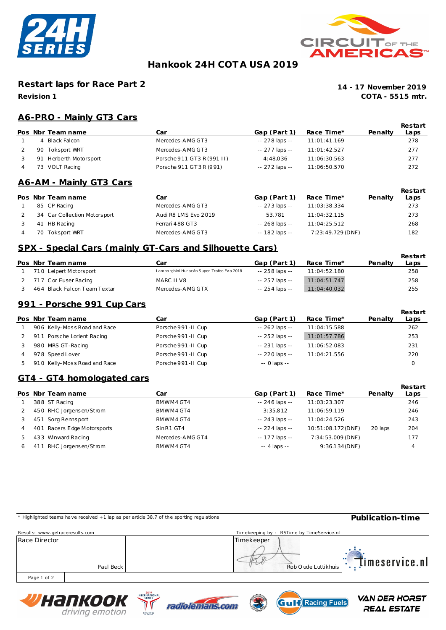



## **Hankook 24H COT A USA 2019**

### **Restart laps for Race Part 2**

**Revision 1**

**COTA - 5515 mtr. 14 - 17 November 2019**

### **A6-PRO - Mainly GT3 Cars**

|    | Pos Nbr Team name   | Car                        | Gap (Part 1)   | Race Time*   | Penalty | Restart<br>Laps |
|----|---------------------|----------------------------|----------------|--------------|---------|-----------------|
|    | 4 Black Falcon      | Mercedes-AMG GT3           | -- 278 laps -- | 11:01:41.169 |         | 278             |
|    | 90 Toksport WRT     | Mercedes-AMG GT3           | -- 277 laps -- | 11:01:42.527 |         | 277             |
| 91 | Herberth Motorsport | Porsche 911 GT3 R (991 II) | 4:48.036       | 11:06:30.563 |         | 277             |
|    | 73 VOLT Racing      | Porsche 911 GT3R (991)     | -- 272 laps -- | 11:06:50.570 |         | 272             |

#### **A6-AM - Mainly GT3 Cars**

|    | Pos Nbr Team name            | Car                  | Gap (Part 1)   | Race Time*        | Penalty | Restart<br>Laps |
|----|------------------------------|----------------------|----------------|-------------------|---------|-----------------|
|    | 85 CP Racing                 | Mercedes-AMG GT3     | -- 273 laps -- | 11:03:38.334      |         | 273             |
|    | 34 Car Collection Motorsport | Audi R8 LMS Evo 2019 | 53.781         | 11:04:32.115      |         | 273             |
| 41 | HB Racing                    | Ferrari 488 GT3      | -- 268 laps -- | 11:04:25.512      |         | 268             |
|    | 70 Toksport WRT              | Mercedes-AMG GT3     | -- 182 laps -- | 7:23:49.729 (DNF) |         | 182             |

#### **SPX - Special Cars (mainly GT-Cars and Silhouette Cars)**

|  | Pos Nbr Team name            | Car                                       | Gap (Part 1)   | Race Time*   | Penalty | Restart<br>Laps |
|--|------------------------------|-------------------------------------------|----------------|--------------|---------|-----------------|
|  | 710 Leipert Motorsport       | Lamborghini Huracán Super Trofeo Evo 2018 | -- 258 laps -- | 11:04:52.180 |         | 258             |
|  | 717 Cor Euser Racing         | MARC II V8                                | -- 257 laps -- | 11:04:51.747 |         | 258             |
|  | 464 Black Falcon Team Textar | Mercedes-AMG GTX                          | -- 254 laps -- | 11:04:40.032 |         | 255             |

#### **991 - Porsche 991 Cup Cars**

|    | Pos Nbr Team name            | Car                | Gap (Part 1)    | Race Time*   | Penalty | Restart<br>Laps |
|----|------------------------------|--------------------|-----------------|--------------|---------|-----------------|
|    | 906 Kelly-Moss Road and Race | Porsche 991-II Cup | $-262$ laps $-$ | 11:04:15.588 |         | 262             |
|    | 911 Porsche Lorient Racing   | Porsche 991-II Cup | $-252$ laps $-$ | 11:01:57.786 |         | 253             |
|    | 980 MRS GT-Racing            | Porsche 991-II Cup | $-231$ laps $-$ | 11:06:52.083 |         | 231             |
|    | 978 Speed Lover              | Porsche 991-II Cup | $-220$ laps $-$ | 11:04:21.556 |         | 220             |
| 5. | 910 Kelly-Moss Road and Race | Porsche 991-II Cup | $-0$ laps $-$   |              |         | Ω               |

#### **GT4 - GT4 homologated cars**

|   |    | Pos Nbr Team name           | Car              | Gap (Part 1)    | Race Time*         | Penalty | Restart<br>Laps |
|---|----|-----------------------------|------------------|-----------------|--------------------|---------|-----------------|
|   |    | 388 ST Racing               | BMWM4 GT4        | $-246$ laps $-$ | 11:03:23.307       |         | 246             |
|   |    | 450 RHC Jorgensen/Strom     | BMWM4 GT4        | 3:35.812        | 11:06:59.119       |         | 246             |
|   |    | 451 Sorg Rennsport          | BMWM4 GT4        | -- 243 laps --  | 11:04:24.526       |         | 243             |
|   |    | 401 Racers Edge Motorsports | SinR1 GT4        | $-224$ laps $-$ | 10:51:08.172 (DNF) | 20 laps | 204             |
|   |    | 433 Winward Racing          | Mercedes-AMG GT4 | $-177$ laps $-$ | 7:34:53.009 (DNF)  |         | 177             |
| 6 | 41 | RHC Jorgensen/Strom         | BMWM4 GT4        | $-4$ laps $-$   | $9:36.134$ (DNF)   |         | 4               |

|                                 | * Highlighted teams have received +1 lap as per article 38.7 of the sporting regulations |                                        |            |                                          | Publication-time     |
|---------------------------------|------------------------------------------------------------------------------------------|----------------------------------------|------------|------------------------------------------|----------------------|
| Results: www.getraceresults.com |                                                                                          |                                        |            | Timekeeping by: RSTime by TimeService.nl |                      |
| Race Director                   | Paul Beck                                                                                |                                        | Timekeeper | Rob O ude Luttikhuis                     | $\Box$ imeservice.nl |
| Page 1 of 2                     |                                                                                          |                                        |            |                                          |                      |
|                                 | Wuanyooy                                                                                 | 2019<br><b>INTERNATIONAL</b><br>SERIES |            | $\blacksquare$                           | <b>VAN DER HORST</b> |







**REAL ESTATE**